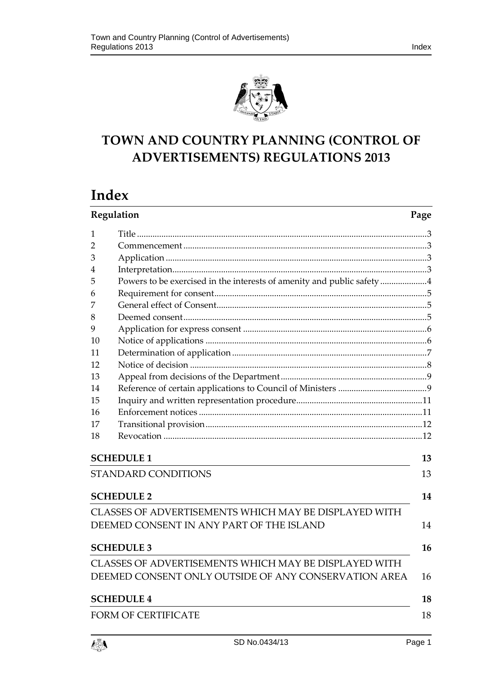

# **TOWN AND COUNTRY PLANNING (CONTROL OF ADVERTISEMENTS) REGULATIONS 2013**

# **Index**

| Regulation                                            |                                                                        | Page |  |  |
|-------------------------------------------------------|------------------------------------------------------------------------|------|--|--|
| 1                                                     |                                                                        |      |  |  |
| $\overline{2}$                                        |                                                                        |      |  |  |
| 3                                                     |                                                                        |      |  |  |
| 4                                                     |                                                                        |      |  |  |
| 5                                                     | Powers to be exercised in the interests of amenity and public safety 4 |      |  |  |
| 6                                                     |                                                                        |      |  |  |
| 7                                                     |                                                                        |      |  |  |
| 8                                                     |                                                                        |      |  |  |
| 9                                                     |                                                                        |      |  |  |
| 10                                                    |                                                                        |      |  |  |
| 11                                                    |                                                                        |      |  |  |
| 12                                                    |                                                                        |      |  |  |
| 13                                                    |                                                                        |      |  |  |
| 14                                                    |                                                                        |      |  |  |
| 15                                                    |                                                                        |      |  |  |
| 16                                                    |                                                                        |      |  |  |
| 17                                                    |                                                                        |      |  |  |
| 18                                                    |                                                                        |      |  |  |
| <b>SCHEDULE 1</b><br>13                               |                                                                        |      |  |  |
|                                                       | <b>STANDARD CONDITIONS</b>                                             | 13   |  |  |
|                                                       | <b>SCHEDULE 2</b>                                                      | 14   |  |  |
| CLASSES OF ADVERTISEMENTS WHICH MAY BE DISPLAYED WITH |                                                                        |      |  |  |
|                                                       | DEEMED CONSENT IN ANY PART OF THE ISLAND                               | 14   |  |  |
|                                                       | <b>SCHEDULE 3</b>                                                      | 16   |  |  |
|                                                       | CLASSES OF ADVERTISEMENTS WHICH MAY BE DISPLAYED WITH                  |      |  |  |
|                                                       | DEEMED CONSENT ONLY OUTSIDE OF ANY CONSERVATION AREA                   | 16   |  |  |
|                                                       | <b>SCHEDULE 4</b>                                                      | 18   |  |  |
| 18<br><b>FORM OF CERTIFICATE</b>                      |                                                                        |      |  |  |

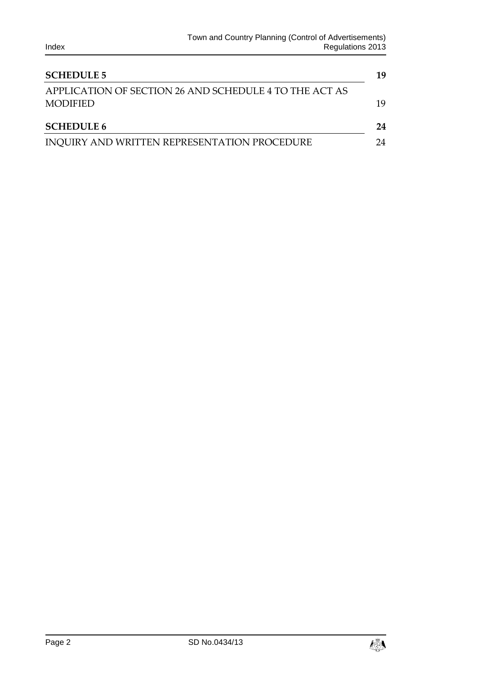| <b>SCHEDULE 5</b>                                      |    |  |
|--------------------------------------------------------|----|--|
| APPLICATION OF SECTION 26 AND SCHEDULE 4 TO THE ACT AS |    |  |
| <b>MODIFIED</b>                                        | 19 |  |
| <b>SCHEDULE 6</b>                                      | 24 |  |
| INQUIRY AND WRITTEN REPRESENTATION PROCEDURE           | 24 |  |

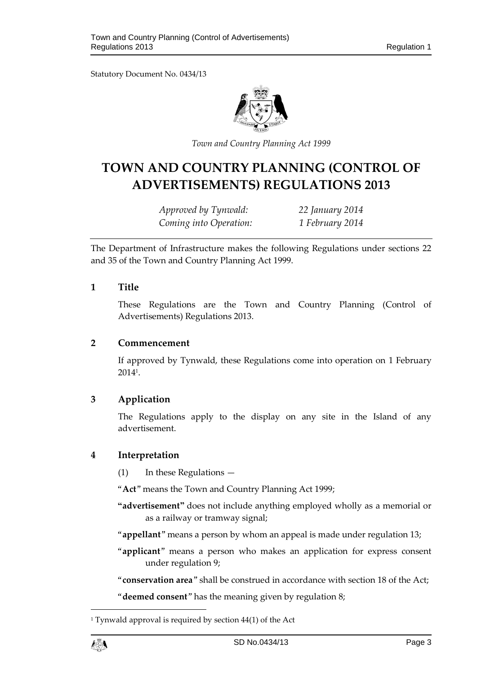Statutory Document No. 0434/13



*Town and Country Planning Act 1999*

# **TOWN AND COUNTRY PLANNING (CONTROL OF ADVERTISEMENTS) REGULATIONS 2013**

*Approved by Tynwald: 22 January 2014 Coming into Operation: 1 February 2014*

The Department of Infrastructure makes the following Regulations under sections 22 and 35 of the Town and Country Planning Act 1999.

## <span id="page-2-0"></span>**1 Title**

These Regulations are the Town and Country Planning (Control of Advertisements) Regulations 2013.

#### <span id="page-2-1"></span>**2 Commencement**

If approved by Tynwald, these Regulations come into operation on 1 February 2014<sup>1</sup> .

# <span id="page-2-2"></span>**3 Application**

The Regulations apply to the display on any site in the Island of any advertisement.

# <span id="page-2-3"></span>**4 Interpretation**

(1) In these Regulations —

"**Act**" means the Town and Country Planning Act 1999;

- **"advertisement"** does not include anything employed wholly as a memorial or as a railway or tramway signal;
- "**appellant**" means a person by whom an appeal is made under regulation 13;
- "**applicant**" means a person who makes an application for express consent under regulation 9;
- "**conservation area**" shall be construed in accordance with section 18 of the Act;

"**deemed consent**" has the meaning given by regulation 8;

1

<sup>&</sup>lt;sup>1</sup> Tynwald approval is required by section  $44(1)$  of the Act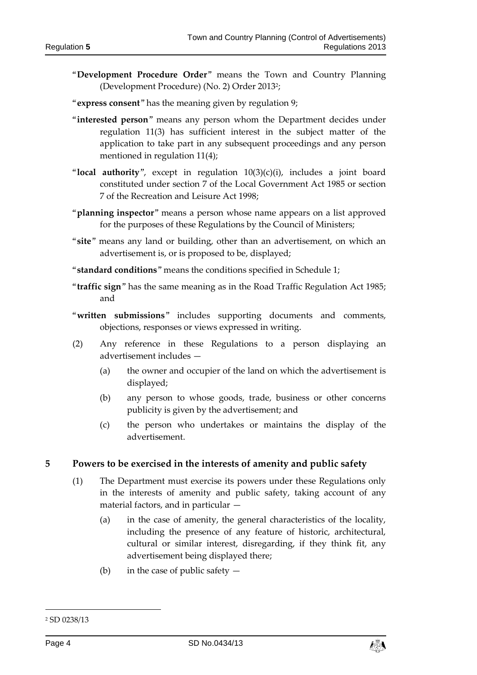- "**Development Procedure Order**" means the Town and Country Planning (Development Procedure) (No. 2) Order 2013<sup>2</sup> ;
- "**express consent**" has the meaning given by regulation 9;
- "**interested person**" means any person whom the Department decides under regulation 11(3) has sufficient interest in the subject matter of the application to take part in any subsequent proceedings and any person mentioned in regulation 11(4);
- "**local authority**", except in regulation 10(3)(c)(i), includes a joint board constituted under section 7 of the Local Government Act 1985 or section 7 of the Recreation and Leisure Act 1998;
- "**planning inspector**" means a person whose name appears on a list approved for the purposes of these Regulations by the Council of Ministers;
- "**site**" means any land or building, other than an advertisement, on which an advertisement is, or is proposed to be, displayed;
- "**standard conditions**" means the conditions specified in Schedule 1;
- "**traffic sign**" has the same meaning as in the Road Traffic Regulation Act 1985; and
- "**written submissions**" includes supporting documents and comments, objections, responses or views expressed in writing.
- (2) Any reference in these Regulations to a person displaying an advertisement includes —
	- (a) the owner and occupier of the land on which the advertisement is displayed;
	- (b) any person to whose goods, trade, business or other concerns publicity is given by the advertisement; and
	- (c) the person who undertakes or maintains the display of the advertisement.

#### <span id="page-3-0"></span>**5 Powers to be exercised in the interests of amenity and public safety**

- (1) The Department must exercise its powers under these Regulations only in the interests of amenity and public safety, taking account of any material factors, and in particular —
	- (a) in the case of amenity, the general characteristics of the locality, including the presence of any feature of historic, architectural, cultural or similar interest, disregarding, if they think fit, any advertisement being displayed there;
	- (b) in the case of public safety  $-$

-



<sup>2</sup> SD 0238/13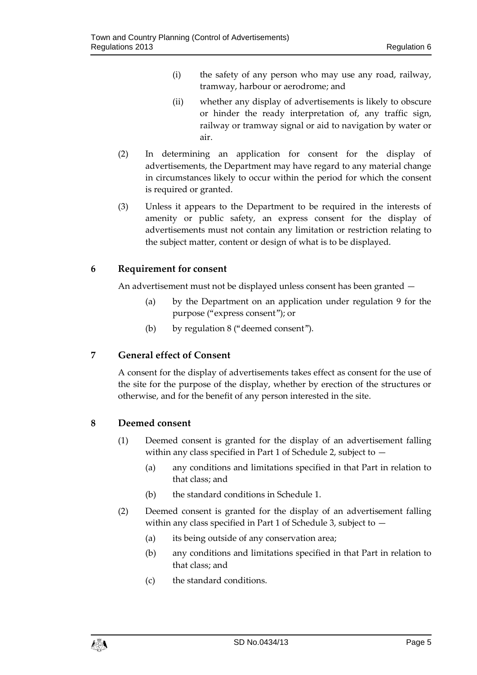- (i) the safety of any person who may use any road, railway, tramway, harbour or aerodrome; and
- (ii) whether any display of advertisements is likely to obscure or hinder the ready interpretation of, any traffic sign, railway or tramway signal or aid to navigation by water or air.
- (2) In determining an application for consent for the display of advertisements, the Department may have regard to any material change in circumstances likely to occur within the period for which the consent is required or granted.
- (3) Unless it appears to the Department to be required in the interests of amenity or public safety, an express consent for the display of advertisements must not contain any limitation or restriction relating to the subject matter, content or design of what is to be displayed.

# <span id="page-4-0"></span>**6 Requirement for consent**

An advertisement must not be displayed unless consent has been granted —

- (a) by the Department on an application under regulation 9 for the purpose ("express consent"); or
- (b) by regulation 8 ("deemed consent").

# <span id="page-4-1"></span>**7 General effect of Consent**

A consent for the display of advertisements takes effect as consent for the use of the site for the purpose of the display, whether by erection of the structures or otherwise, and for the benefit of any person interested in the site.

# <span id="page-4-2"></span>**8 Deemed consent**

- (1) Deemed consent is granted for the display of an advertisement falling within any class specified in Part 1 of Schedule 2, subject to —
	- (a) any conditions and limitations specified in that Part in relation to that class; and
	- (b) the standard conditions in Schedule 1.
- (2) Deemed consent is granted for the display of an advertisement falling within any class specified in Part 1 of Schedule 3, subject to  $-$ 
	- (a) its being outside of any conservation area;
	- (b) any conditions and limitations specified in that Part in relation to that class; and
	- (c) the standard conditions.

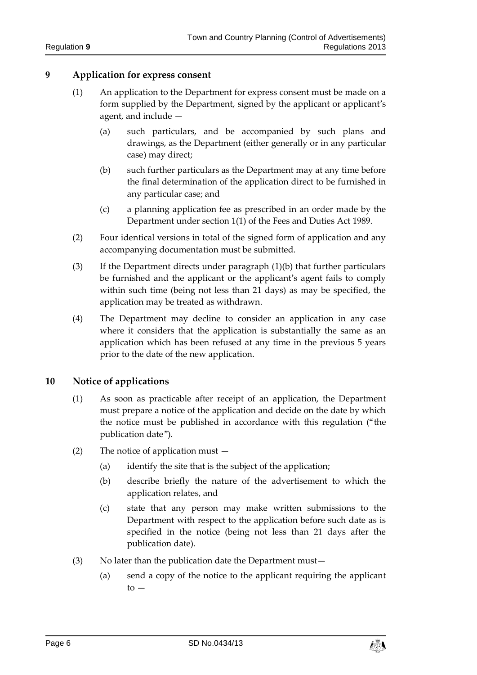## <span id="page-5-0"></span>**9 Application for express consent**

- (1) An application to the Department for express consent must be made on a form supplied by the Department, signed by the applicant or applicant's agent, and include —
	- (a) such particulars, and be accompanied by such plans and drawings, as the Department (either generally or in any particular case) may direct;
	- (b) such further particulars as the Department may at any time before the final determination of the application direct to be furnished in any particular case; and
	- (c) a planning application fee as prescribed in an order made by the Department under section 1(1) of the Fees and Duties Act 1989.
- (2) Four identical versions in total of the signed form of application and any accompanying documentation must be submitted.
- (3) If the Department directs under paragraph (1)(b) that further particulars be furnished and the applicant or the applicant's agent fails to comply within such time (being not less than 21 days) as may be specified, the application may be treated as withdrawn.
- (4) The Department may decline to consider an application in any case where it considers that the application is substantially the same as an application which has been refused at any time in the previous 5 years prior to the date of the new application.

# <span id="page-5-1"></span>**10 Notice of applications**

- (1) As soon as practicable after receipt of an application, the Department must prepare a notice of the application and decide on the date by which the notice must be published in accordance with this regulation ("the publication date").
- (2) The notice of application must
	- (a) identify the site that is the subject of the application;
	- (b) describe briefly the nature of the advertisement to which the application relates, and
	- (c) state that any person may make written submissions to the Department with respect to the application before such date as is specified in the notice (being not less than 21 days after the publication date).
- (3) No later than the publication date the Department must—
	- (a) send a copy of the notice to the applicant requiring the applicant  $to -$

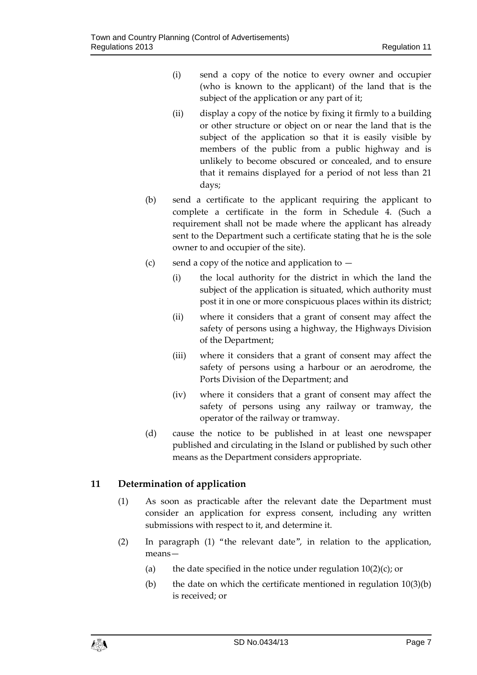- (i) send a copy of the notice to every owner and occupier (who is known to the applicant) of the land that is the subject of the application or any part of it;
- (ii) display a copy of the notice by fixing it firmly to a building or other structure or object on or near the land that is the subject of the application so that it is easily visible by members of the public from a public highway and is unlikely to become obscured or concealed, and to ensure that it remains displayed for a period of not less than 21 days;
- (b) send a certificate to the applicant requiring the applicant to complete a certificate in the form in Schedule 4. (Such a requirement shall not be made where the applicant has already sent to the Department such a certificate stating that he is the sole owner to and occupier of the site).
- (c) send a copy of the notice and application to  $-$ 
	- (i) the local authority for the district in which the land the subject of the application is situated, which authority must post it in one or more conspicuous places within its district;
	- (ii) where it considers that a grant of consent may affect the safety of persons using a highway, the Highways Division of the Department;
	- (iii) where it considers that a grant of consent may affect the safety of persons using a harbour or an aerodrome, the Ports Division of the Department; and
	- (iv) where it considers that a grant of consent may affect the safety of persons using any railway or tramway, the operator of the railway or tramway.
- (d) cause the notice to be published in at least one newspaper published and circulating in the Island or published by such other means as the Department considers appropriate.

# <span id="page-6-0"></span>**11 Determination of application**

- (1) As soon as practicable after the relevant date the Department must consider an application for express consent, including any written submissions with respect to it, and determine it.
- (2) In paragraph (1) "the relevant date", in relation to the application, means—
	- (a) the date specified in the notice under regulation  $10(2)(c)$ ; or
	- (b) the date on which the certificate mentioned in regulation  $10(3)(b)$ is received; or

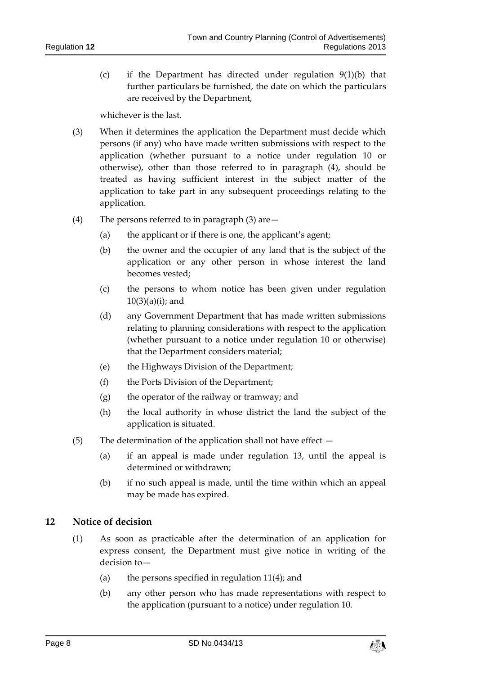(c) if the Department has directed under regulation 9(1)(b) that further particulars be furnished, the date on which the particulars are received by the Department,

whichever is the last.

- (3) When it determines the application the Department must decide which persons (if any) who have made written submissions with respect to the application (whether pursuant to a notice under regulation 10 or otherwise), other than those referred to in paragraph (4), should be treated as having sufficient interest in the subject matter of the application to take part in any subsequent proceedings relating to the application.
- (4) The persons referred to in paragraph (3) are—
	- (a) the applicant or if there is one, the applicant's agent;
	- (b) the owner and the occupier of any land that is the subject of the application or any other person in whose interest the land becomes vested;
	- (c) the persons to whom notice has been given under regulation  $10(3)(a)(i)$ ; and
	- (d) any Government Department that has made written submissions relating to planning considerations with respect to the application (whether pursuant to a notice under regulation 10 or otherwise) that the Department considers material;
	- (e) the Highways Division of the Department;
	- (f) the Ports Division of the Department;
	- (g) the operator of the railway or tramway; and
	- (h) the local authority in whose district the land the subject of the application is situated.
- (5) The determination of the application shall not have effect  $-$ 
	- (a) if an appeal is made under regulation 13, until the appeal is determined or withdrawn;
	- (b) if no such appeal is made, until the time within which an appeal may be made has expired.

# <span id="page-7-0"></span>**12 Notice of decision**

- (1) As soon as practicable after the determination of an application for express consent, the Department must give notice in writing of the decision to—
	- (a) the persons specified in regulation  $11(4)$ ; and
	- (b) any other person who has made representations with respect to the application (pursuant to a notice) under regulation 10.

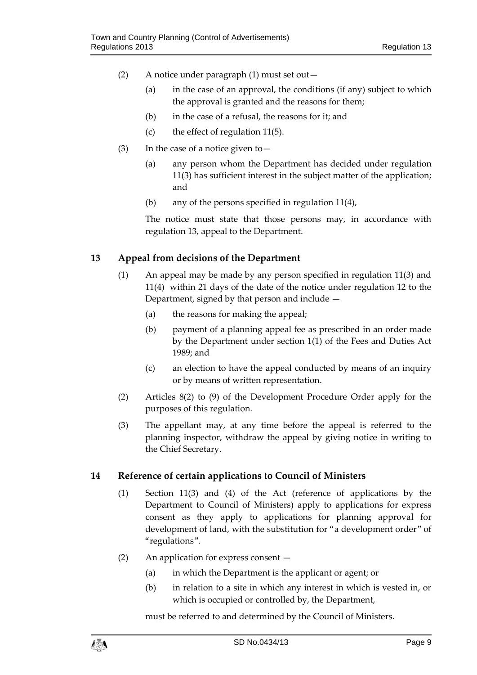- (2) A notice under paragraph (1) must set out—
	- (a) in the case of an approval, the conditions (if any) subject to which the approval is granted and the reasons for them;
	- (b) in the case of a refusal, the reasons for it; and
	- (c) the effect of regulation 11(5).
- (3) In the case of a notice given to  $-$ 
	- (a) any person whom the Department has decided under regulation 11(3) has sufficient interest in the subject matter of the application; and
	- (b) any of the persons specified in regulation 11(4),

The notice must state that those persons may, in accordance with regulation 13, appeal to the Department.

# <span id="page-8-0"></span>**13 Appeal from decisions of the Department**

- (1) An appeal may be made by any person specified in regulation 11(3) and 11(4) within 21 days of the date of the notice under regulation 12 to the Department, signed by that person and include —
	- (a) the reasons for making the appeal;
	- (b) payment of a planning appeal fee as prescribed in an order made by the Department under section 1(1) of the Fees and Duties Act 1989; and
	- (c) an election to have the appeal conducted by means of an inquiry or by means of written representation.
- (2) Articles 8(2) to (9) of the Development Procedure Order apply for the purposes of this regulation.
- (3) The appellant may, at any time before the appeal is referred to the planning inspector, withdraw the appeal by giving notice in writing to the Chief Secretary.

# <span id="page-8-1"></span>**14 Reference of certain applications to Council of Ministers**

- (1) Section 11(3) and (4) of the Act (reference of applications by the Department to Council of Ministers) apply to applications for express consent as they apply to applications for planning approval for development of land, with the substitution for "a development order" of "regulations".
- (2) An application for express consent
	- (a) in which the Department is the applicant or agent; or
	- (b) in relation to a site in which any interest in which is vested in, or which is occupied or controlled by, the Department,

must be referred to and determined by the Council of Ministers.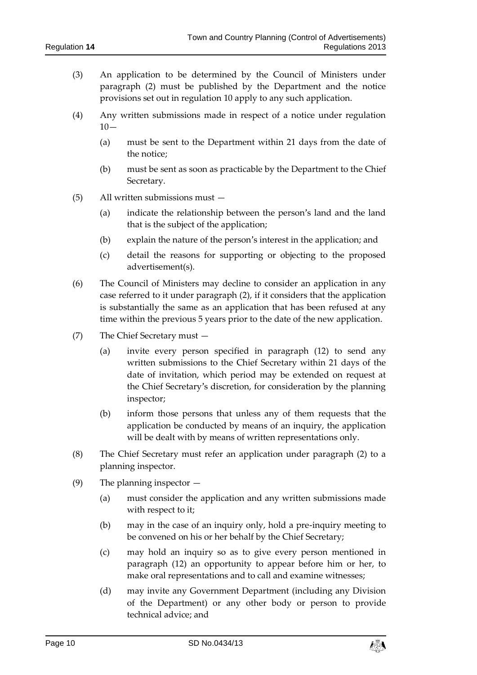- (3) An application to be determined by the Council of Ministers under paragraph (2) must be published by the Department and the notice provisions set out in regulation 10 apply to any such application.
- (4) Any written submissions made in respect of a notice under regulation  $10-$ 
	- (a) must be sent to the Department within 21 days from the date of the notice;
	- (b) must be sent as soon as practicable by the Department to the Chief Secretary.
- (5) All written submissions must
	- (a) indicate the relationship between the person's land and the land that is the subject of the application;
	- (b) explain the nature of the person's interest in the application; and
	- (c) detail the reasons for supporting or objecting to the proposed advertisement(s).
- (6) The Council of Ministers may decline to consider an application in any case referred to it under paragraph (2), if it considers that the application is substantially the same as an application that has been refused at any time within the previous 5 years prior to the date of the new application.
- (7) The Chief Secretary must
	- (a) invite every person specified in paragraph (12) to send any written submissions to the Chief Secretary within 21 days of the date of invitation, which period may be extended on request at the Chief Secretary's discretion, for consideration by the planning inspector;
	- (b) inform those persons that unless any of them requests that the application be conducted by means of an inquiry, the application will be dealt with by means of written representations only.
- (8) The Chief Secretary must refer an application under paragraph (2) to a planning inspector.
- (9) The planning inspector
	- (a) must consider the application and any written submissions made with respect to it;
	- (b) may in the case of an inquiry only, hold a pre-inquiry meeting to be convened on his or her behalf by the Chief Secretary;
	- (c) may hold an inquiry so as to give every person mentioned in paragraph (12) an opportunity to appear before him or her, to make oral representations and to call and examine witnesses;
	- (d) may invite any Government Department (including any Division of the Department) or any other body or person to provide technical advice; and

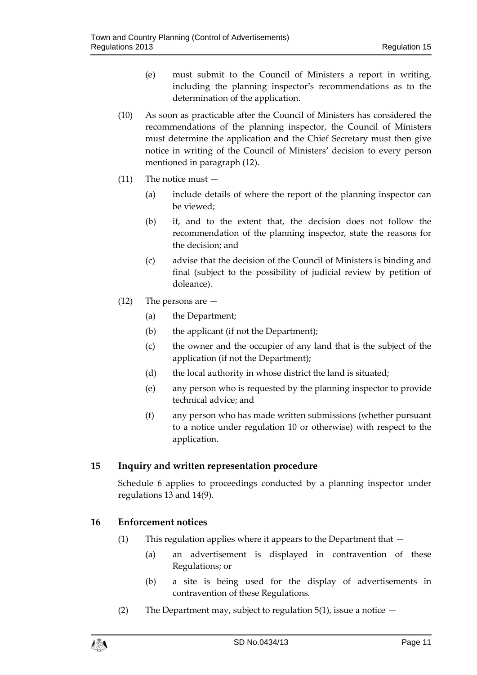- (e) must submit to the Council of Ministers a report in writing, including the planning inspector's recommendations as to the determination of the application.
- (10) As soon as practicable after the Council of Ministers has considered the recommendations of the planning inspector, the Council of Ministers must determine the application and the Chief Secretary must then give notice in writing of the Council of Ministers' decision to every person mentioned in paragraph (12).
- (11) The notice must
	- (a) include details of where the report of the planning inspector can be viewed;
	- (b) if, and to the extent that, the decision does not follow the recommendation of the planning inspector, state the reasons for the decision; and
	- (c) advise that the decision of the Council of Ministers is binding and final (subject to the possibility of judicial review by petition of doleance).
- (12) The persons are
	- (a) the Department;
	- (b) the applicant (if not the Department);
	- (c) the owner and the occupier of any land that is the subject of the application (if not the Department);
	- (d) the local authority in whose district the land is situated;
	- (e) any person who is requested by the planning inspector to provide technical advice; and
	- (f) any person who has made written submissions (whether pursuant to a notice under regulation 10 or otherwise) with respect to the application.

# <span id="page-10-0"></span>**15 Inquiry and written representation procedure**

Schedule 6 applies to proceedings conducted by a planning inspector under regulations 13 and 14(9).

# <span id="page-10-1"></span>**16 Enforcement notices**

- (1) This regulation applies where it appears to the Department that  $-$ 
	- (a) an advertisement is displayed in contravention of these Regulations; or
	- (b) a site is being used for the display of advertisements in contravention of these Regulations.
- (2) The Department may, subject to regulation  $5(1)$ , issue a notice  $-$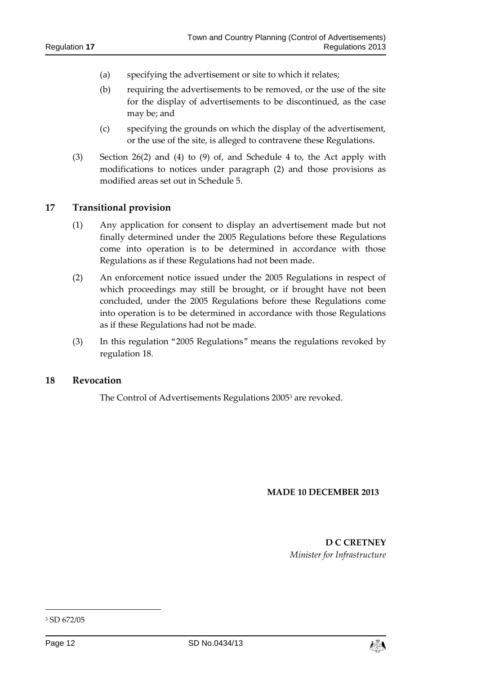- (a) specifying the advertisement or site to which it relates;
- (b) requiring the advertisements to be removed, or the use of the site for the display of advertisements to be discontinued, as the case may be; and
- (c) specifying the grounds on which the display of the advertisement, or the use of the site, is alleged to contravene these Regulations.
- (3) Section 26(2) and (4) to (9) of, and Schedule 4 to, the Act apply with modifications to notices under paragraph (2) and those provisions as modified areas set out in Schedule 5.

#### <span id="page-11-0"></span>**17 Transitional provision**

- (1) Any application for consent to display an advertisement made but not finally determined under the 2005 Regulations before these Regulations come into operation is to be determined in accordance with those Regulations as if these Regulations had not been made.
- (2) An enforcement notice issued under the 2005 Regulations in respect of which proceedings may still be brought, or if brought have not been concluded, under the 2005 Regulations before these Regulations come into operation is to be determined in accordance with those Regulations as if these Regulations had not be made.
- (3) In this regulation "2005 Regulations" means the regulations revoked by regulation 18.

#### <span id="page-11-1"></span>**18 Revocation**

The Control of Advertisements Regulations 2005<sup>3</sup> are revoked.

#### **MADE 10 DECEMBER 2013**

**D C CRETNEY** *Minister for Infrastructure*

-



<sup>3</sup> SD 672/05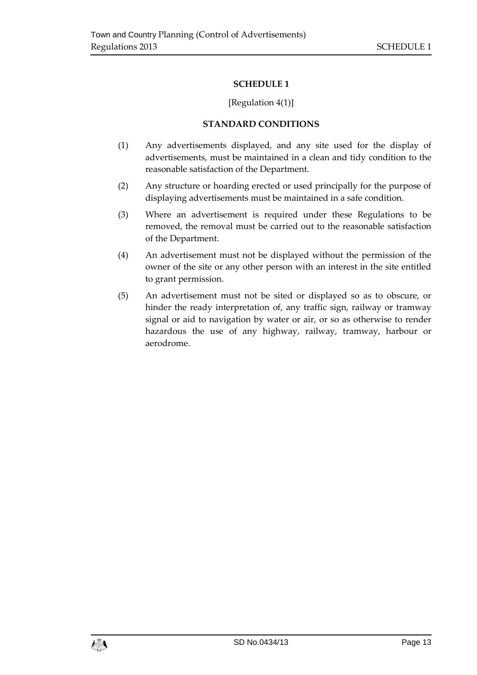# [Regulation 4(1)]

## **STANDARD CONDITIONS**

- <span id="page-12-1"></span><span id="page-12-0"></span>(1) Any advertisements displayed, and any site used for the display of advertisements, must be maintained in a clean and tidy condition to the reasonable satisfaction of the Department.
- (2) Any structure or hoarding erected or used principally for the purpose of displaying advertisements must be maintained in a safe condition.
- (3) Where an advertisement is required under these Regulations to be removed, the removal must be carried out to the reasonable satisfaction of the Department.
- (4) An advertisement must not be displayed without the permission of the owner of the site or any other person with an interest in the site entitled to grant permission.
- (5) An advertisement must not be sited or displayed so as to obscure, or hinder the ready interpretation of, any traffic sign, railway or tramway signal or aid to navigation by water or air, or so as otherwise to render hazardous the use of any highway, railway, tramway, harbour or aerodrome.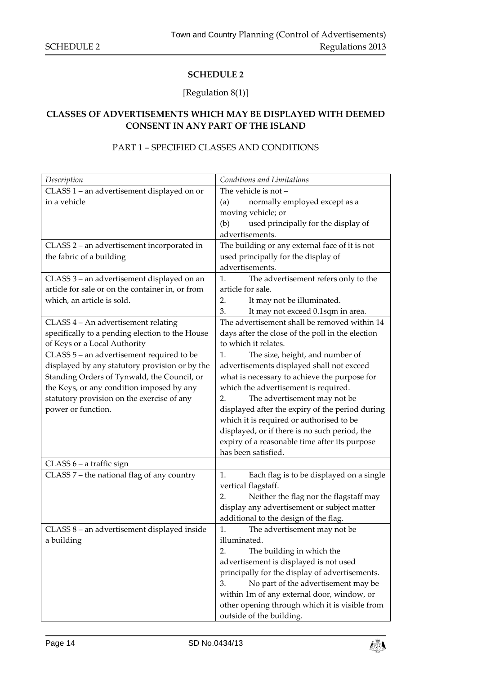# [Regulation 8(1)]

# <span id="page-13-1"></span><span id="page-13-0"></span>**CLASSES OF ADVERTISEMENTS WHICH MAY BE DISPLAYED WITH DEEMED CONSENT IN ANY PART OF THE ISLAND**

# PART 1 – SPECIFIED CLASSES AND CONDITIONS

| Description                                      | Conditions and Limitations                       |
|--------------------------------------------------|--------------------------------------------------|
| CLASS 1 - an advertisement displayed on or       | The vehicle is not -                             |
| in a vehicle                                     | normally employed except as a<br>(a)             |
|                                                  | moving vehicle; or                               |
|                                                  | used principally for the display of<br>(b)       |
|                                                  | advertisements.                                  |
| CLASS 2 - an advertisement incorporated in       | The building or any external face of it is not   |
| the fabric of a building                         | used principally for the display of              |
|                                                  | advertisements.                                  |
| CLASS 3 - an advertisement displayed on an       | 1.<br>The advertisement refers only to the       |
| article for sale or on the container in, or from | article for sale.                                |
| which, an article is sold.                       | It may not be illuminated.<br>2.                 |
|                                                  | It may not exceed 0.1sqm in area.<br>3.          |
| CLASS 4 - An advertisement relating              | The advertisement shall be removed within 14     |
| specifically to a pending election to the House  | days after the close of the poll in the election |
| of Keys or a Local Authority                     | to which it relates.                             |
| CLASS 5 - an advertisement required to be        | The size, height, and number of<br>1.            |
| displayed by any statutory provision or by the   | advertisements displayed shall not exceed        |
| Standing Orders of Tynwald, the Council, or      | what is necessary to achieve the purpose for     |
| the Keys, or any condition imposed by any        | which the advertisement is required.             |
| statutory provision on the exercise of any       | The advertisement may not be<br>2.               |
| power or function.                               | displayed after the expiry of the period during  |
|                                                  | which it is required or authorised to be         |
|                                                  | displayed, or if there is no such period, the    |
|                                                  | expiry of a reasonable time after its purpose    |
|                                                  | has been satisfied.                              |
| CLASS 6 – a traffic sign                         |                                                  |
| CLASS 7 - the national flag of any country       | Each flag is to be displayed on a single<br>1.   |
|                                                  | vertical flagstaff.                              |
|                                                  | Neither the flag nor the flagstaff may<br>2.     |
|                                                  | display any advertisement or subject matter      |
|                                                  | additional to the design of the flag.            |
| CLASS 8 - an advertisement displayed inside      | The advertisement may not be<br>1.               |
| a building                                       | illuminated.                                     |
|                                                  | 2.<br>The building in which the                  |
|                                                  | advertisement is displayed is not used           |
|                                                  | principally for the display of advertisements.   |
|                                                  | 3.<br>No part of the advertisement may be        |
|                                                  | within 1m of any external door, window, or       |
|                                                  | other opening through which it is visible from   |
|                                                  | outside of the building.                         |

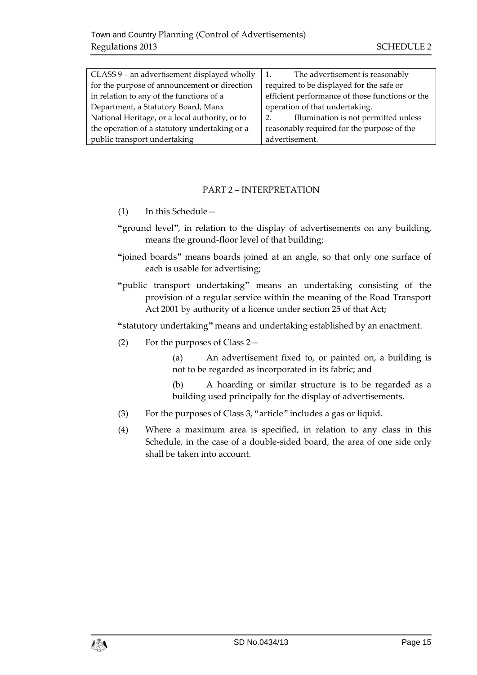| CLASS 9 - an advertisement displayed wholly    | The advertisement is reasonably<br>1.           |
|------------------------------------------------|-------------------------------------------------|
| for the purpose of announcement or direction   | required to be displayed for the safe or        |
| in relation to any of the functions of a       | efficient performance of those functions or the |
| Department, a Statutory Board, Manx            | operation of that undertaking.                  |
| National Heritage, or a local authority, or to | Illumination is not permitted unless<br>2.      |
| the operation of a statutory undertaking or a  | reasonably required for the purpose of the      |
| public transport undertaking                   | advertisement.                                  |

# PART 2 – INTERPRETATION

- (1) In this Schedule—
- **"**ground level**"**, in relation to the display of advertisements on any building, means the ground-floor level of that building;
- **"**joined boards**"** means boards joined at an angle, so that only one surface of each is usable for advertising;
- **"**public transport undertaking**"** means an undertaking consisting of the provision of a regular service within the meaning of the Road Transport Act 2001 by authority of a licence under section 25 of that Act;

**"**statutory undertaking**"** means and undertaking established by an enactment.

(2) For the purposes of Class 2—

(a) An advertisement fixed to, or painted on, a building is not to be regarded as incorporated in its fabric; and

(b) A hoarding or similar structure is to be regarded as a building used principally for the display of advertisements.

- (3) For the purposes of Class 3, "article" includes a gas or liquid.
- (4) Where a maximum area is specified, in relation to any class in this Schedule, in the case of a double-sided board, the area of one side only shall be taken into account.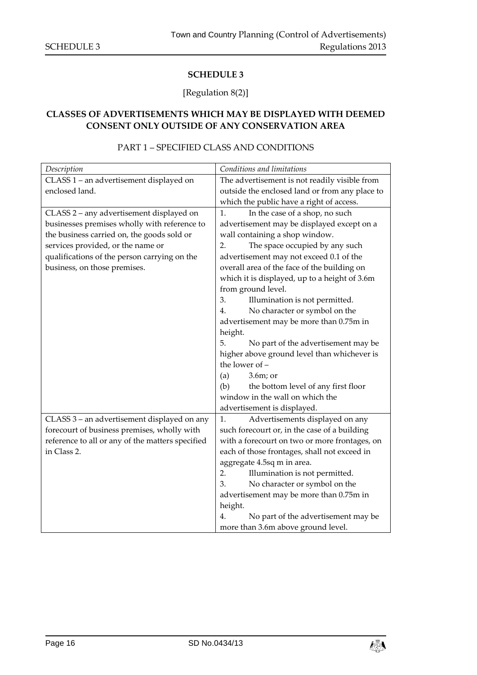# [Regulation 8(2)]

# <span id="page-15-1"></span><span id="page-15-0"></span>**CLASSES OF ADVERTISEMENTS WHICH MAY BE DISPLAYED WITH DEEMED CONSENT ONLY OUTSIDE OF ANY CONSERVATION AREA**

# PART 1 – SPECIFIED CLASS AND CONDITIONS

| Description                                      | Conditions and limitations                     |
|--------------------------------------------------|------------------------------------------------|
| CLASS 1 - an advertisement displayed on          | The advertisement is not readily visible from  |
| enclosed land.                                   | outside the enclosed land or from any place to |
|                                                  | which the public have a right of access.       |
| CLASS 2 - any advertisement displayed on         | In the case of a shop, no such<br>1.           |
| businesses premises wholly with reference to     | advertisement may be displayed except on a     |
| the business carried on, the goods sold or       | wall containing a shop window.                 |
| services provided, or the name or                | The space occupied by any such<br>2.           |
| qualifications of the person carrying on the     | advertisement may not exceed 0.1 of the        |
| business, on those premises.                     | overall area of the face of the building on    |
|                                                  | which it is displayed, up to a height of 3.6m  |
|                                                  | from ground level.                             |
|                                                  | 3.<br>Illumination is not permitted.           |
|                                                  | No character or symbol on the<br>4.            |
|                                                  | advertisement may be more than 0.75m in        |
|                                                  | height.                                        |
|                                                  | 5.<br>No part of the advertisement may be      |
|                                                  | higher above ground level than whichever is    |
|                                                  | the lower of -                                 |
|                                                  | $3.6m$ ; or<br>(a)                             |
|                                                  | (b)<br>the bottom level of any first floor     |
|                                                  | window in the wall on which the                |
|                                                  | advertisement is displayed.                    |
| CLASS 3 - an advertisement displayed on any      | Advertisements displayed on any<br>1.          |
| forecourt of business premises, wholly with      | such forecourt or, in the case of a building   |
| reference to all or any of the matters specified | with a forecourt on two or more frontages, on  |
| in Class 2.                                      | each of those frontages, shall not exceed in   |
|                                                  | aggregate 4.5sq m in area.                     |
|                                                  | Illumination is not permitted.<br>2.           |
|                                                  | No character or symbol on the<br>3.            |
|                                                  | advertisement may be more than 0.75m in        |
|                                                  | height.                                        |
|                                                  | No part of the advertisement may be<br>4.      |
|                                                  | more than 3.6m above ground level.             |

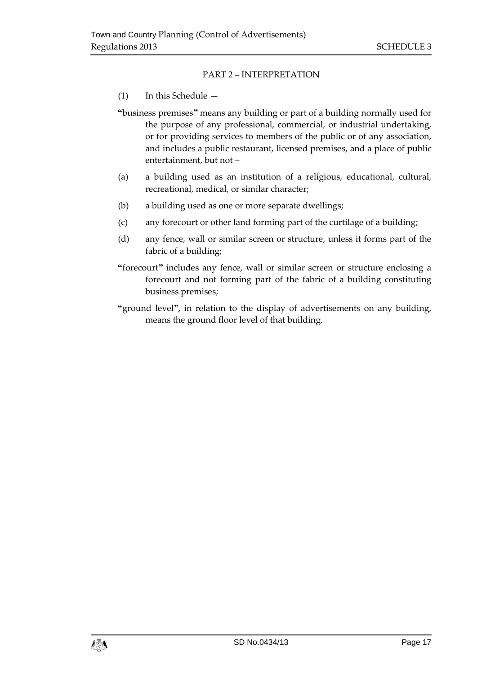# PART 2 – INTERPRETATION

# (1) In this Schedule —

**"**business premises**"** means any building or part of a building normally used for the purpose of any professional, commercial, or industrial undertaking, or for providing services to members of the public or of any association, and includes a public restaurant, licensed premises, and a place of public entertainment, but not –

- (a) a building used as an institution of a religious, educational, cultural, recreational, medical, or similar character;
- (b) a building used as one or more separate dwellings;
- (c) any forecourt or other land forming part of the curtilage of a building;
- (d) any fence, wall or similar screen or structure, unless it forms part of the fabric of a building;
- **"**forecourt**"** includes any fence, wall or similar screen or structure enclosing a forecourt and not forming part of the fabric of a building constituting business premises;
- **"**ground level**",** in relation to the display of advertisements on any building, means the ground floor level of that building.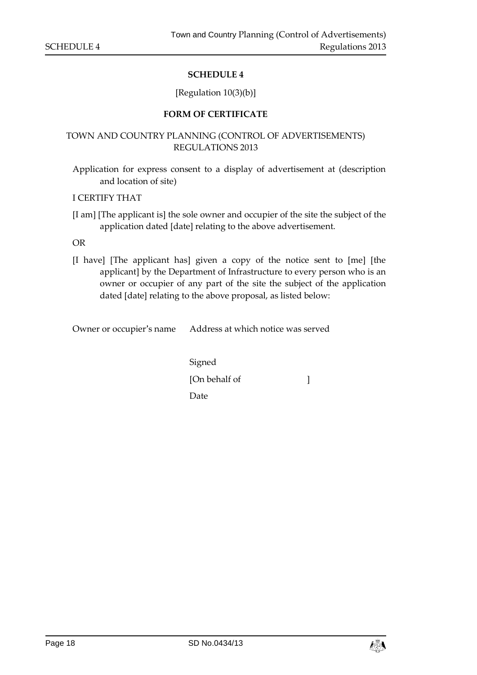## [Regulation 10(3)(b)]

#### **FORM OF CERTIFICATE**

# <span id="page-17-1"></span><span id="page-17-0"></span>TOWN AND COUNTRY PLANNING (CONTROL OF ADVERTISEMENTS) REGULATIONS 2013

Application for express consent to a display of advertisement at (description and location of site)

I CERTIFY THAT

[I am] [The applicant is] the sole owner and occupier of the site the subject of the application dated [date] relating to the above advertisement.

OR

[I have] [The applicant has] given a copy of the notice sent to [me] [the applicant] by the Department of Infrastructure to every person who is an owner or occupier of any part of the site the subject of the application dated [date] relating to the above proposal, as listed below:

Owner or occupier's name Address at which notice was served

Signed [On behalf of ] Date

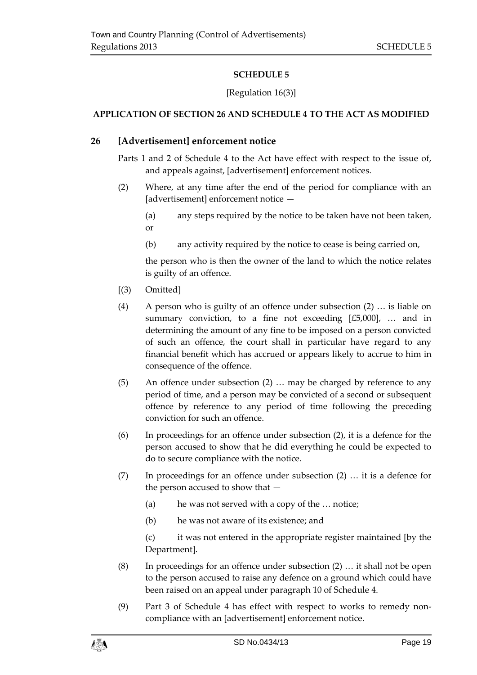# [Regulation 16(3)]

# <span id="page-18-1"></span><span id="page-18-0"></span>**APPLICATION OF SECTION 26 AND SCHEDULE 4 TO THE ACT AS MODIFIED**

# **26 [Advertisement] enforcement notice**

Parts 1 and 2 of Schedule 4 to the Act have effect with respect to the issue of, and appeals against, [advertisement] enforcement notices.

- (2) Where, at any time after the end of the period for compliance with an [advertisement] enforcement notice -
	- (a) any steps required by the notice to be taken have not been taken, or
	- (b) any activity required by the notice to cease is being carried on,

the person who is then the owner of the land to which the notice relates is guilty of an offence.

- [(3) Omitted]
- (4) A person who is guilty of an offence under subsection (2) … is liable on summary conviction, to a fine not exceeding  $[£5,000]$ , ... and in determining the amount of any fine to be imposed on a person convicted of such an offence, the court shall in particular have regard to any financial benefit which has accrued or appears likely to accrue to him in consequence of the offence.
- (5) An offence under subsection (2) … may be charged by reference to any period of time, and a person may be convicted of a second or subsequent offence by reference to any period of time following the preceding conviction for such an offence.
- (6) In proceedings for an offence under subsection (2), it is a defence for the person accused to show that he did everything he could be expected to do to secure compliance with the notice.
- (7) In proceedings for an offence under subsection (2) … it is a defence for the person accused to show that —
	- (a) he was not served with a copy of the … notice;
	- (b) he was not aware of its existence; and

(c) it was not entered in the appropriate register maintained [by the Department].

- (8) In proceedings for an offence under subsection (2) … it shall not be open to the person accused to raise any defence on a ground which could have been raised on an appeal under paragraph 10 of Schedule 4.
- (9) Part 3 of Schedule 4 has effect with respect to works to remedy noncompliance with an [advertisement] enforcement notice.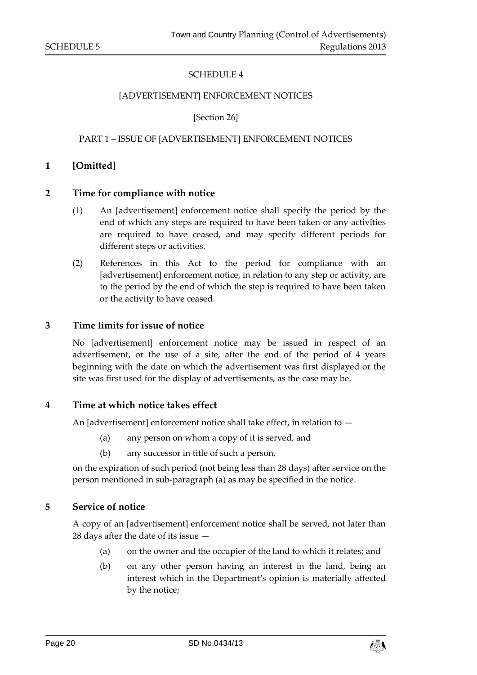#### [ADVERTISEMENT] ENFORCEMENT NOTICES

[Section 26]

#### PART 1 – ISSUE OF [ADVERTISEMENT] ENFORCEMENT NOTICES

#### **1 [Omitted]**

#### **2 Time for compliance with notice**

- (1) An [advertisement] enforcement notice shall specify the period by the end of which any steps are required to have been taken or any activities are required to have ceased, and may specify different periods for different steps or activities.
- (2) References in this Act to the period for compliance with an [advertisement] enforcement notice, in relation to any step or activity, are to the period by the end of which the step is required to have been taken or the activity to have ceased.

#### **3 Time limits for issue of notice**

No [advertisement] enforcement notice may be issued in respect of an advertisement, or the use of a site, after the end of the period of 4 years beginning with the date on which the advertisement was first displayed or the site was first used for the display of advertisements, as the case may be.

#### **4 Time at which notice takes effect**

An [advertisement] enforcement notice shall take effect, in relation to —

- (a) any person on whom a copy of it is served, and
- (b) any successor in title of such a person,

on the expiration of such period (not being less than 28 days) after service on the person mentioned in sub-paragraph (a) as may be specified in the notice.

#### **5 Service of notice**

A copy of an [advertisement] enforcement notice shall be served, not later than 28 days after the date of its issue —

- (a) on the owner and the occupier of the land to which it relates; and
- (b) on any other person having an interest in the land, being an interest which in the Department's opinion is materially affected by the notice;

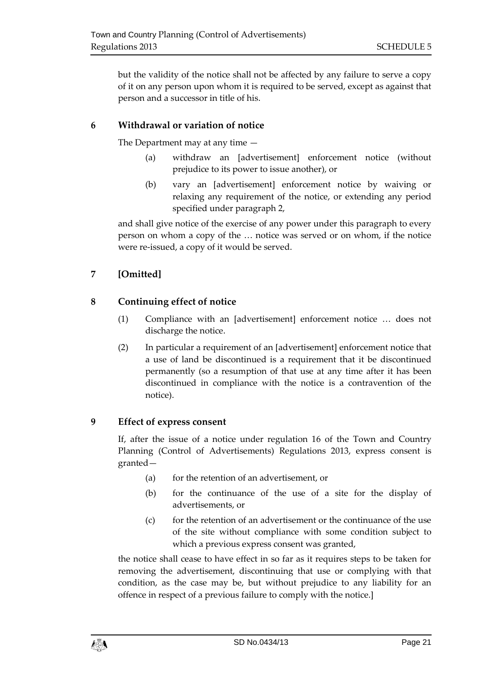but the validity of the notice shall not be affected by any failure to serve a copy of it on any person upon whom it is required to be served, except as against that person and a successor in title of his.

# **6 Withdrawal or variation of notice**

The Department may at any time —

- (a) withdraw an [advertisement] enforcement notice (without prejudice to its power to issue another), or
- (b) vary an [advertisement] enforcement notice by waiving or relaxing any requirement of the notice, or extending any period specified under paragraph 2,

and shall give notice of the exercise of any power under this paragraph to every person on whom a copy of the … notice was served or on whom, if the notice were re-issued, a copy of it would be served.

# **7 [Omitted]**

# **8 Continuing effect of notice**

- (1) Compliance with an [advertisement] enforcement notice ... does not discharge the notice.
- (2) In particular a requirement of an [advertisement] enforcement notice that a use of land be discontinued is a requirement that it be discontinued permanently (so a resumption of that use at any time after it has been discontinued in compliance with the notice is a contravention of the notice).

# **9 Effect of express consent**

If, after the issue of a notice under regulation 16 of the Town and Country Planning (Control of Advertisements) Regulations 2013, express consent is granted—

- (a) for the retention of an advertisement, or
- (b) for the continuance of the use of a site for the display of advertisements, or
- (c) for the retention of an advertisement or the continuance of the use of the site without compliance with some condition subject to which a previous express consent was granted,

the notice shall cease to have effect in so far as it requires steps to be taken for removing the advertisement, discontinuing that use or complying with that condition, as the case may be, but without prejudice to any liability for an offence in respect of a previous failure to comply with the notice.]

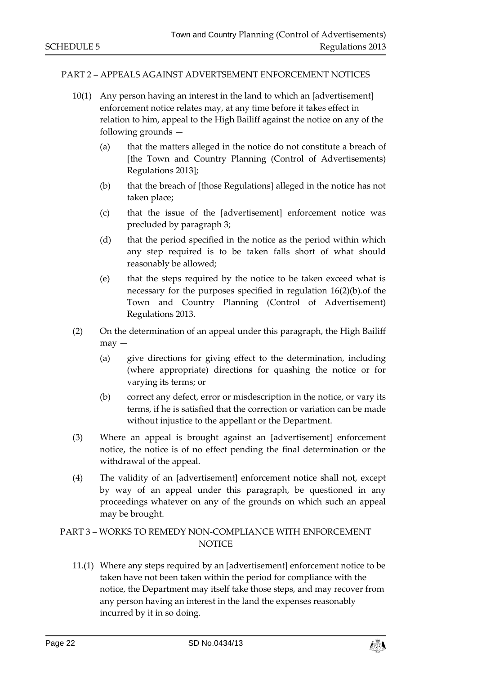#### PART 2 – APPEALS AGAINST ADVERTSEMENT ENFORCEMENT NOTICES

- 10(1) Any person having an interest in the land to which an [advertisement] enforcement notice relates may, at any time before it takes effect in relation to him, appeal to the High Bailiff against the notice on any of the following grounds —
	- (a) that the matters alleged in the notice do not constitute a breach of [the Town and Country Planning (Control of Advertisements) Regulations 2013];
	- (b) that the breach of [those Regulations] alleged in the notice has not taken place;
	- (c) that the issue of the [advertisement] enforcement notice was precluded by paragraph 3;
	- (d) that the period specified in the notice as the period within which any step required is to be taken falls short of what should reasonably be allowed;
	- (e) that the steps required by the notice to be taken exceed what is necessary for the purposes specified in regulation 16(2)(b).of the Town and Country Planning (Control of Advertisement) Regulations 2013.
- (2) On the determination of an appeal under this paragraph, the High Bailiff may —
	- (a) give directions for giving effect to the determination, including (where appropriate) directions for quashing the notice or for varying its terms; or
	- (b) correct any defect, error or misdescription in the notice, or vary its terms, if he is satisfied that the correction or variation can be made without injustice to the appellant or the Department.
- (3) Where an appeal is brought against an [advertisement] enforcement notice, the notice is of no effect pending the final determination or the withdrawal of the appeal.
- (4) The validity of an [advertisement] enforcement notice shall not, except by way of an appeal under this paragraph, be questioned in any proceedings whatever on any of the grounds on which such an appeal may be brought.

# PART 3 – WORKS TO REMEDY NON-COMPLIANCE WITH ENFORCEMENT **NOTICE**

11.(1) Where any steps required by an [advertisement] enforcement notice to be taken have not been taken within the period for compliance with the notice, the Department may itself take those steps, and may recover from any person having an interest in the land the expenses reasonably incurred by it in so doing.

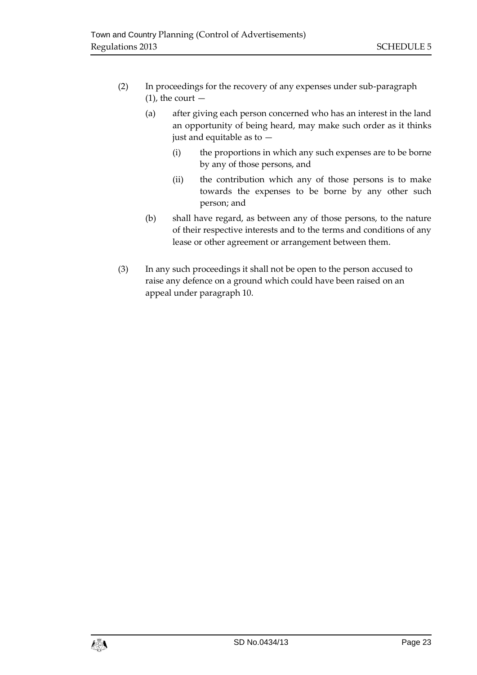- (2) In proceedings for the recovery of any expenses under sub-paragraph  $(1)$ , the court  $-$ 
	- (a) after giving each person concerned who has an interest in the land an opportunity of being heard, may make such order as it thinks just and equitable as to —
		- (i) the proportions in which any such expenses are to be borne by any of those persons, and
		- (ii) the contribution which any of those persons is to make towards the expenses to be borne by any other such person; and
	- (b) shall have regard, as between any of those persons, to the nature of their respective interests and to the terms and conditions of any lease or other agreement or arrangement between them.
- (3) In any such proceedings it shall not be open to the person accused to raise any defence on a ground which could have been raised on an appeal under paragraph 10.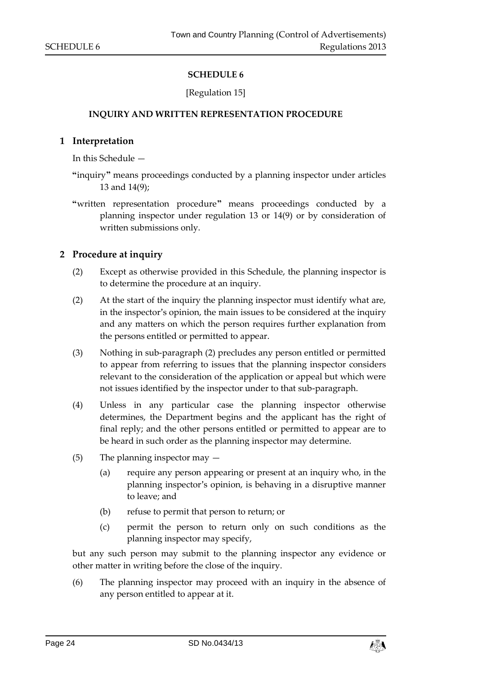#### [Regulation 15]

#### <span id="page-23-0"></span>**INQUIRY AND WRITTEN REPRESENTATION PROCEDURE**

#### <span id="page-23-1"></span>**1 Interpretation**

In this Schedule —

- **"**inquiry**"** means proceedings conducted by a planning inspector under articles 13 and 14(9);
- **"**written representation procedure**"** means proceedings conducted by a planning inspector under regulation 13 or 14(9) or by consideration of written submissions only.

#### **2 Procedure at inquiry**

- (2) Except as otherwise provided in this Schedule, the planning inspector is to determine the procedure at an inquiry.
- (2) At the start of the inquiry the planning inspector must identify what are, in the inspector's opinion, the main issues to be considered at the inquiry and any matters on which the person requires further explanation from the persons entitled or permitted to appear.
- (3) Nothing in sub-paragraph (2) precludes any person entitled or permitted to appear from referring to issues that the planning inspector considers relevant to the consideration of the application or appeal but which were not issues identified by the inspector under to that sub-paragraph.
- (4) Unless in any particular case the planning inspector otherwise determines, the Department begins and the applicant has the right of final reply; and the other persons entitled or permitted to appear are to be heard in such order as the planning inspector may determine.
- (5) The planning inspector may
	- (a) require any person appearing or present at an inquiry who, in the planning inspector's opinion, is behaving in a disruptive manner to leave; and
	- (b) refuse to permit that person to return; or
	- (c) permit the person to return only on such conditions as the planning inspector may specify,

but any such person may submit to the planning inspector any evidence or other matter in writing before the close of the inquiry.

(6) The planning inspector may proceed with an inquiry in the absence of any person entitled to appear at it.

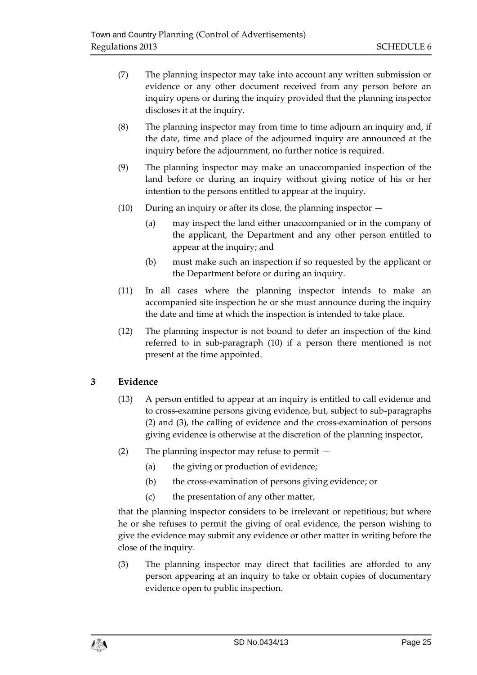- (7) The planning inspector may take into account any written submission or evidence or any other document received from any person before an inquiry opens or during the inquiry provided that the planning inspector discloses it at the inquiry.
- (8) The planning inspector may from time to time adjourn an inquiry and, if the date, time and place of the adjourned inquiry are announced at the inquiry before the adjournment, no further notice is required.
- (9) The planning inspector may make an unaccompanied inspection of the land before or during an inquiry without giving notice of his or her intention to the persons entitled to appear at the inquiry.
- (10) During an inquiry or after its close, the planning inspector
	- (a) may inspect the land either unaccompanied or in the company of the applicant, the Department and any other person entitled to appear at the inquiry; and
	- (b) must make such an inspection if so requested by the applicant or the Department before or during an inquiry.
- (11) In all cases where the planning inspector intends to make an accompanied site inspection he or she must announce during the inquiry the date and time at which the inspection is intended to take place.
- (12) The planning inspector is not bound to defer an inspection of the kind referred to in sub-paragraph (10) if a person there mentioned is not present at the time appointed.

# **3 Evidence**

- (13) A person entitled to appear at an inquiry is entitled to call evidence and to cross-examine persons giving evidence, but, subject to sub-paragraphs (2) and (3), the calling of evidence and the cross-examination of persons giving evidence is otherwise at the discretion of the planning inspector,
- (2) The planning inspector may refuse to permit
	- (a) the giving or production of evidence;
	- (b) the cross-examination of persons giving evidence; or
	- (c) the presentation of any other matter,

that the planning inspector considers to be irrelevant or repetitious; but where he or she refuses to permit the giving of oral evidence, the person wishing to give the evidence may submit any evidence or other matter in writing before the close of the inquiry.

(3) The planning inspector may direct that facilities are afforded to any person appearing at an inquiry to take or obtain copies of documentary evidence open to public inspection.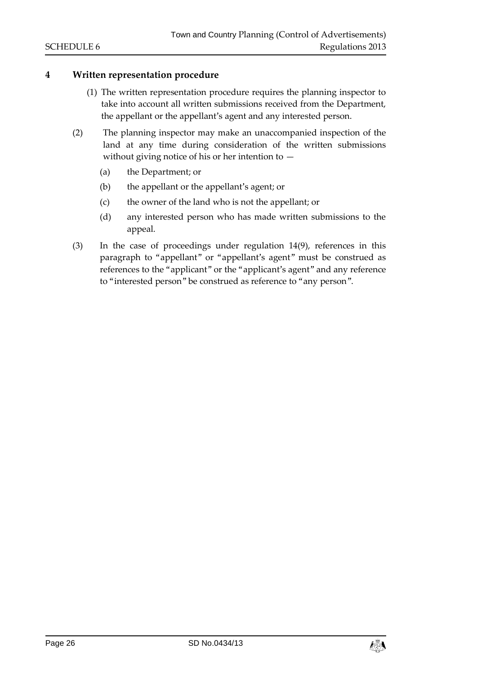# **4 Written representation procedure**

- (1) The written representation procedure requires the planning inspector to take into account all written submissions received from the Department, the appellant or the appellant's agent and any interested person.
- (2) The planning inspector may make an unaccompanied inspection of the land at any time during consideration of the written submissions without giving notice of his or her intention to —
	- (a) the Department; or
	- (b) the appellant or the appellant's agent; or
	- (c) the owner of the land who is not the appellant; or
	- (d) any interested person who has made written submissions to the appeal.
- (3) In the case of proceedings under regulation 14(9), references in this paragraph to "appellant" or "appellant's agent" must be construed as references to the "applicant" or the "applicant's agent" and any reference to "interested person" be construed as reference to "any person".